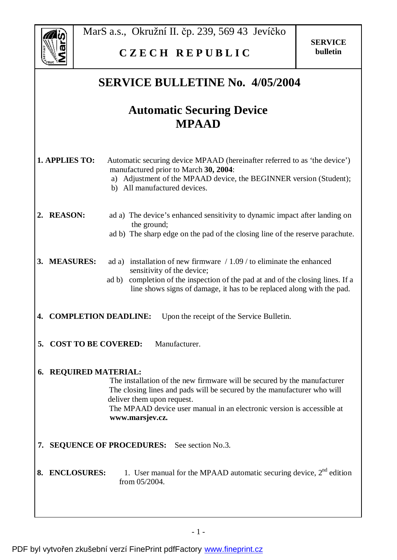

MarS a.s., Okružní II. čp. 239, 569 43 Jevíčko

## **C Z E C H R E P U B L I C**

## **SERVICE BULLETINE No. 4/05/2004**

## **Automatic Securing Device MPAAD**

| 1. APPLIES TO: |                             | Automatic securing device MPAAD (hereinafter referred to as 'the device')                                                                                                                                                                                                      |
|----------------|-----------------------------|--------------------------------------------------------------------------------------------------------------------------------------------------------------------------------------------------------------------------------------------------------------------------------|
|                |                             | manufactured prior to March 30, 2004:<br>a) Adjustment of the MPAAD device, the BEGINNER version (Student);<br>b) All manufactured devices.                                                                                                                                    |
| 2.             | <b>REASON:</b>              | ad a) The device's enhanced sensitivity to dynamic impact after landing on<br>the ground;<br>ad b) The sharp edge on the pad of the closing line of the reserve parachute.                                                                                                     |
| 3.             | <b>MEASURES:</b>            | ad a) installation of new firmware $/ 1.09 /$ to eliminate the enhanced<br>sensitivity of the device;<br>completion of the inspection of the pad at and of the closing lines. If a<br>ad b)<br>line shows signs of damage, it has to be replaced along with the pad.           |
| 4.             | <b>COMPLETION DEADLINE:</b> | Upon the receipt of the Service Bulletin.                                                                                                                                                                                                                                      |
| 5.             | <b>COST TO BE COVERED:</b>  | Manufacturer.                                                                                                                                                                                                                                                                  |
| 6.             | <b>REQUIRED MATERIAL:</b>   | The installation of the new firmware will be secured by the manufacturer<br>The closing lines and pads will be secured by the manufacturer who will<br>deliver them upon request.<br>The MPAAD device user manual in an electronic version is accessible at<br>www.marsjev.cz. |
|                |                             | 7. SEQUENCE OF PROCEDURES: See section No.3.                                                                                                                                                                                                                                   |
| 8.             | <b>ENCLOSURES:</b>          | 1. User manual for the MPAAD automatic securing device, $2nd$ edition<br>from 05/2004.                                                                                                                                                                                         |